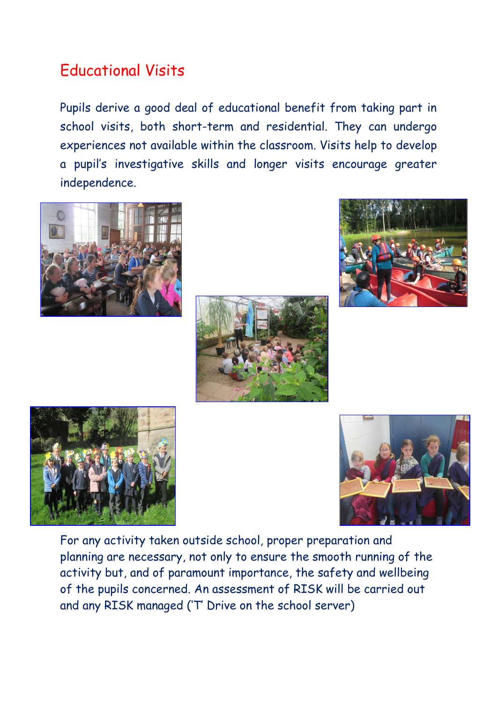# Educational Visits

Pupils derive a good deal of educational benefit from taking part in school visits, both short-term and residential. They can undergo experiences not available within the classroom. Visits help to develop a pupil's investigative skills and longer visits encourage greater independence.











For any activity taken outside school, proper preparation and planning are necessary, not only to ensure the smooth running of the activity but, and of paramount importance, the safety and wellbeing of the pupils concerned. An assessment of RISK will be carried out and any RISK managed ('T' Drive on the school server)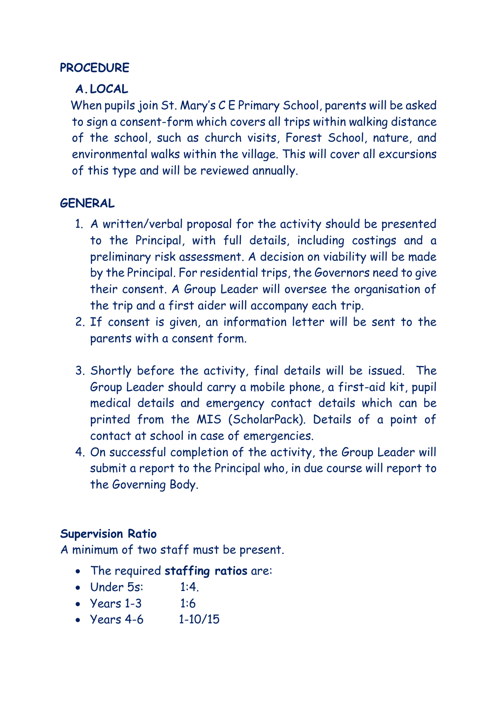#### **PROCEDURE**

### **A.LOCAL**

When pupils join St. Mary's C E Primary School, parents will be asked to sign a consent-form which covers all trips within walking distance of the school, such as church visits, Forest School, nature, and environmental walks within the village. This will cover all excursions of this type and will be reviewed annually.

### **GENERAL**

- 1. A written/verbal proposal for the activity should be presented to the Principal, with full details, including costings and a preliminary risk assessment. A decision on viability will be made by the Principal. For residential trips, the Governors need to give their consent. A Group Leader will oversee the organisation of the trip and a first aider will accompany each trip.
- 2. If consent is given, an information letter will be sent to the parents with a consent form.
- 3. Shortly before the activity, final details will be issued. The Group Leader should carry a mobile phone, a first-aid kit, pupil medical details and emergency contact details which can be printed from the MIS (ScholarPack). Details of a point of contact at school in case of emergencies.
- 4. On successful completion of the activity, the Group Leader will submit a report to the Principal who, in due course will report to the Governing Body.

### **Supervision Ratio**

A minimum of two staff must be present.

- The required **staffing ratios** are:
- Under 5s: 1:4.
- Years 1-3 1:6
- Years 4-6 1-10/15